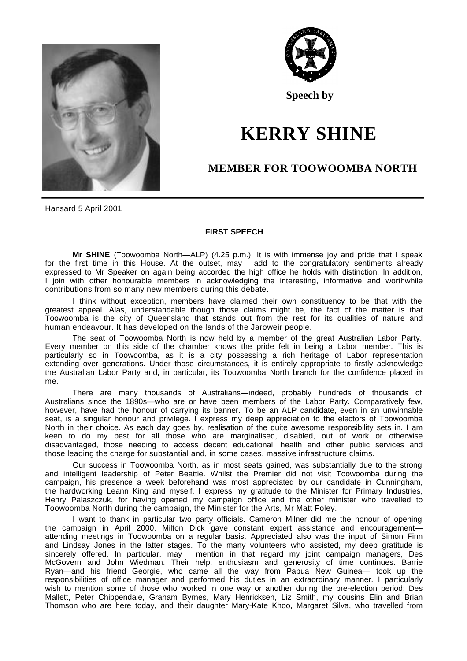



**Speech by**

## **KERRY SHINE**

## **MEMBER FOR TOOWOOMBA NORTH**

Hansard 5 April 2001

## **FIRST SPEECH**

**Mr SHINE** (Toowoomba North—ALP) (4.25 p.m.): It is with immense joy and pride that I speak for the first time in this House. At the outset, may I add to the congratulatory sentiments already expressed to Mr Speaker on again being accorded the high office he holds with distinction. In addition, I join with other honourable members in acknowledging the interesting, informative and worthwhile contributions from so many new members during this debate.

I think without exception, members have claimed their own constituency to be that with the greatest appeal. Alas, understandable though those claims might be, the fact of the matter is that Toowoomba is the city of Queensland that stands out from the rest for its qualities of nature and human endeavour. It has developed on the lands of the Jaroweir people.

The seat of Toowoomba North is now held by a member of the great Australian Labor Party. Every member on this side of the chamber knows the pride felt in being a Labor member. This is particularly so in Toowoomba, as it is a city possessing a rich heritage of Labor representation extending over generations. Under those circumstances, it is entirely appropriate to firstly acknowledge the Australian Labor Party and, in particular, its Toowoomba North branch for the confidence placed in me.

There are many thousands of Australians—indeed, probably hundreds of thousands of Australians since the 1890s—who are or have been members of the Labor Party. Comparatively few, however, have had the honour of carrying its banner. To be an ALP candidate, even in an unwinnable seat, is a singular honour and privilege. I express my deep appreciation to the electors of Toowoomba North in their choice. As each day goes by, realisation of the quite awesome responsibility sets in. I am keen to do my best for all those who are marginalised, disabled, out of work or otherwise disadvantaged, those needing to access decent educational, health and other public services and those leading the charge for substantial and, in some cases, massive infrastructure claims.

Our success in Toowoomba North, as in most seats gained, was substantially due to the strong and intelligent leadership of Peter Beattie. Whilst the Premier did not visit Toowoomba during the campaign, his presence a week beforehand was most appreciated by our candidate in Cunningham, the hardworking Leann King and myself. I express my gratitude to the Minister for Primary Industries, Henry Palaszczuk, for having opened my campaign office and the other minister who travelled to Toowoomba North during the campaign, the Minister for the Arts, Mr Matt Foley.

I want to thank in particular two party officials. Cameron Milner did me the honour of opening the campaign in April 2000. Milton Dick gave constant expert assistance and encouragementattending meetings in Toowoomba on a regular basis. Appreciated also was the input of Simon Finn and Lindsay Jones in the latter stages. To the many volunteers who assisted, my deep gratitude is sincerely offered. In particular, may I mention in that regard my joint campaign managers, Des McGovern and John Wiedman. Their help, enthusiasm and generosity of time continues. Barrie Ryan—and his friend Georgie, who came all the way from Papua New Guinea— took up the responsibilities of office manager and performed his duties in an extraordinary manner. I particularly wish to mention some of those who worked in one way or another during the pre-election period: Des Mallett, Peter Chippendale, Graham Byrnes, Mary Henricksen, Liz Smith, my cousins Elin and Brian Thomson who are here today, and their daughter Mary-Kate Khoo, Margaret Silva, who travelled from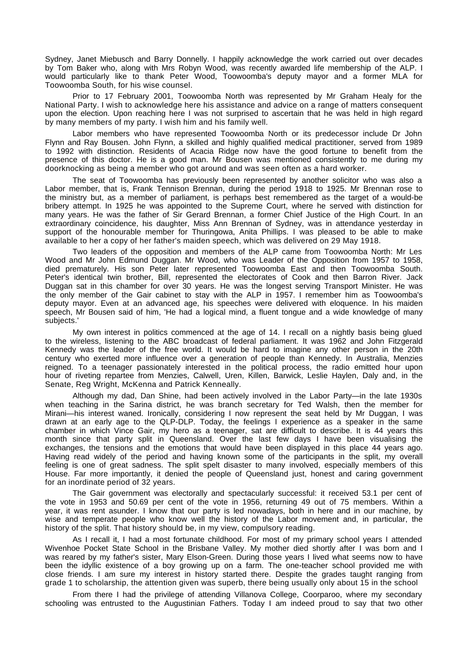Sydney, Janet Miebusch and Barry Donnelly. I happily acknowledge the work carried out over decades by Tom Baker who, along with Mrs Robyn Wood, was recently awarded life membership of the ALP. I would particularly like to thank Peter Wood, Toowoomba's deputy mayor and a former MLA for Toowoomba South, for his wise counsel.

Prior to 17 February 2001, Toowoomba North was represented by Mr Graham Healy for the National Party. I wish to acknowledge here his assistance and advice on a range of matters consequent upon the election. Upon reaching here I was not surprised to ascertain that he was held in high regard by many members of my party. I wish him and his family well.

Labor members who have represented Toowoomba North or its predecessor include Dr John Flynn and Ray Bousen. John Flynn, a skilled and highly qualified medical practitioner, served from 1989 to 1992 with distinction. Residents of Acacia Ridge now have the good fortune to benefit from the presence of this doctor. He is a good man. Mr Bousen was mentioned consistently to me during my doorknocking as being a member who got around and was seen often as a hard worker.

The seat of Toowoomba has previously been represented by another solicitor who was also a Labor member, that is, Frank Tennison Brennan, during the period 1918 to 1925. Mr Brennan rose to the ministry but, as a member of parliament, is perhaps best remembered as the target of a would-be bribery attempt. In 1925 he was appointed to the Supreme Court, where he served with distinction for many years. He was the father of Sir Gerard Brennan, a former Chief Justice of the High Court. In an extraordinary coincidence, his daughter, Miss Ann Brennan of Sydney, was in attendance yesterday in support of the honourable member for Thuringowa, Anita Phillips. I was pleased to be able to make available to her a copy of her father's maiden speech, which was delivered on 29 May 1918.

Two leaders of the opposition and members of the ALP came from Toowoomba North: Mr Les Wood and Mr John Edmund Duggan. Mr Wood, who was Leader of the Opposition from 1957 to 1958, died prematurely. His son Peter later represented Toowoomba East and then Toowoomba South. Peter's identical twin brother, Bill, represented the electorates of Cook and then Barron River. Jack Duggan sat in this chamber for over 30 years. He was the longest serving Transport Minister. He was the only member of the Gair cabinet to stay with the ALP in 1957. I remember him as Toowoomba's deputy mayor. Even at an advanced age, his speeches were delivered with eloquence. In his maiden speech, Mr Bousen said of him, 'He had a logical mind, a fluent tongue and a wide knowledge of many subjects.'

My own interest in politics commenced at the age of 14. I recall on a nightly basis being glued to the wireless, listening to the ABC broadcast of federal parliament. It was 1962 and John Fitzgerald Kennedy was the leader of the free world. It would be hard to imagine any other person in the 20th century who exerted more influence over a generation of people than Kennedy. In Australia, Menzies reigned. To a teenager passionately interested in the political process, the radio emitted hour upon hour of riveting repartee from Menzies, Calwell, Uren, Killen, Barwick, Leslie Haylen, Daly and, in the Senate, Reg Wright, McKenna and Patrick Kenneally.

Although my dad, Dan Shine, had been actively involved in the Labor Party—in the late 1930s when teaching in the Sarina district, he was branch secretary for Ted Walsh, then the member for Mirani—his interest waned. Ironically, considering I now represent the seat held by Mr Duggan, I was drawn at an early age to the QLP-DLP. Today, the feelings I experience as a speaker in the same chamber in which Vince Gair, my hero as a teenager, sat are difficult to describe. It is 44 years this month since that party split in Queensland. Over the last few days I have been visualising the exchanges, the tensions and the emotions that would have been displayed in this place 44 years ago. Having read widely of the period and having known some of the participants in the split, my overall feeling is one of great sadness. The split spelt disaster to many involved, especially members of this House. Far more importantly, it denied the people of Queensland just, honest and caring government for an inordinate period of 32 years.

The Gair government was electorally and spectacularly successful: it received 53.1 per cent of the vote in 1953 and 50.69 per cent of the vote in 1956, returning 49 out of 75 members. Within a year, it was rent asunder. I know that our party is led nowadays, both in here and in our machine, by wise and temperate people who know well the history of the Labor movement and, in particular, the history of the split. That history should be, in my view, compulsory reading.

As I recall it, I had a most fortunate childhood. For most of my primary school years I attended Wivenhoe Pocket State School in the Brisbane Valley. My mother died shortly after I was born and I was reared by my father's sister, Mary Elson-Green. During those years I lived what seems now to have been the idyllic existence of a boy growing up on a farm. The one-teacher school provided me with close friends. I am sure my interest in history started there. Despite the grades taught ranging from grade 1 to scholarship, the attention given was superb, there being usually only about 15 in the school

From there I had the privilege of attending Villanova College, Coorparoo, where my secondary schooling was entrusted to the Augustinian Fathers. Today I am indeed proud to say that two other